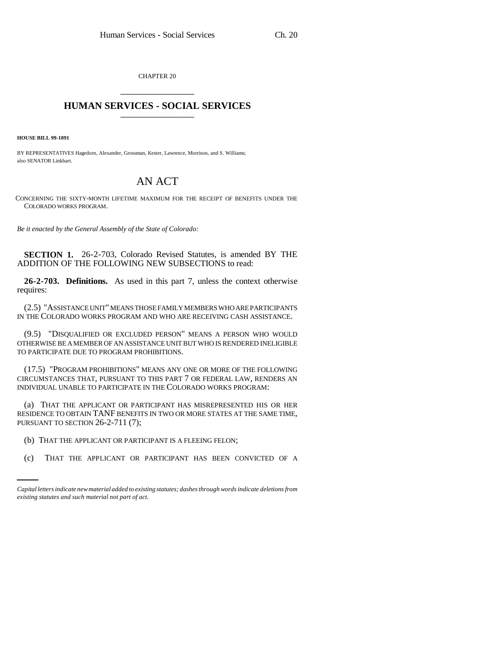CHAPTER 20 \_\_\_\_\_\_\_\_\_\_\_\_\_\_\_

## **HUMAN SERVICES - SOCIAL SERVICES** \_\_\_\_\_\_\_\_\_\_\_\_\_\_\_

**HOUSE BILL 99-1091**

BY REPRESENTATIVES Hagedorn, Alexander, Grossman, Kester, Lawrence, Morrison, and S. Williams; also SENATOR Linkhart.

## AN ACT

CONCERNING THE SIXTY-MONTH LIFETIME MAXIMUM FOR THE RECEIPT OF BENEFITS UNDER THE COLORADO WORKS PROGRAM.

*Be it enacted by the General Assembly of the State of Colorado:*

**SECTION 1.** 26-2-703, Colorado Revised Statutes, is amended BY THE ADDITION OF THE FOLLOWING NEW SUBSECTIONS to read:

**26-2-703. Definitions.** As used in this part 7, unless the context otherwise requires:

(2.5) "ASSISTANCE UNIT" MEANS THOSE FAMILY MEMBERS WHO ARE PARTICIPANTS IN THE COLORADO WORKS PROGRAM AND WHO ARE RECEIVING CASH ASSISTANCE.

(9.5) "DISQUALIFIED OR EXCLUDED PERSON" MEANS A PERSON WHO WOULD OTHERWISE BE A MEMBER OF AN ASSISTANCE UNIT BUT WHO IS RENDERED INELIGIBLE TO PARTICIPATE DUE TO PROGRAM PROHIBITIONS.

(17.5) "PROGRAM PROHIBITIONS" MEANS ANY ONE OR MORE OF THE FOLLOWING CIRCUMSTANCES THAT, PURSUANT TO THIS PART 7 OR FEDERAL LAW, RENDERS AN INDIVIDUAL UNABLE TO PARTICIPATE IN THE COLORADO WORKS PROGRAM:

(a) THAT THE APPLICANT OR PARTICIPANT HAS MISREPRESENTED HIS OR HER RESIDENCE TO OBTAIN TANF BENEFITS IN TWO OR MORE STATES AT THE SAME TIME, PURSUANT TO SECTION 26-2-711 (7);

(b) THAT THE APPLICANT OR PARTICIPANT IS A FLEEING FELON;

(c) THAT THE APPLICANT OR PARTICIPANT HAS BEEN CONVICTED OF A

*Capital letters indicate new material added to existing statutes; dashes through words indicate deletions from existing statutes and such material not part of act.*